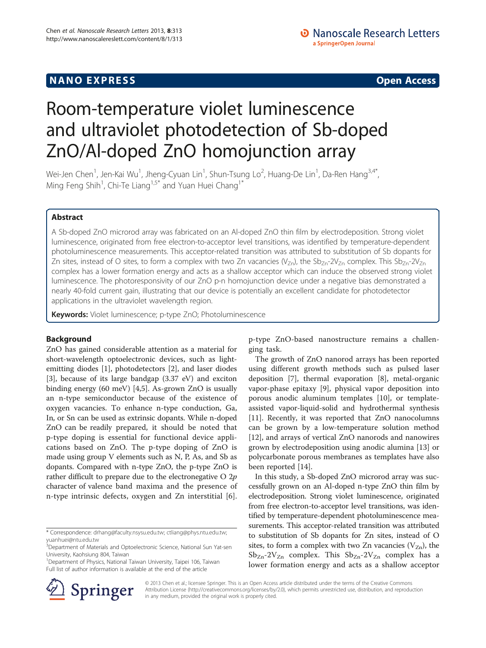# Room-temperature violet luminescence and ultraviolet photodetection of Sb-doped ZnO/Al-doped ZnO homojunction array

Wei-Jen Chen $^1$ , Jen-Kai Wu $^1$ , Jheng-Cyuan Lin $^1$ , Shun-Tsung Lo $^2$ , Huang-De Lin $^1$ , Da-Ren Hang $^{3,4^{\ast}},$ Ming Feng Shih<sup>1</sup>, Chi-Te Liang $^{1,5^*}$  and Yuan Huei Chang $^{1^*}$ 

## Abstract

A Sb-doped ZnO microrod array was fabricated on an Al-doped ZnO thin film by electrodeposition. Strong violet luminescence, originated from free electron-to-acceptor level transitions, was identified by temperature-dependent photoluminescence measurements. This acceptor-related transition was attributed to substitution of Sb dopants for Zn sites, instead of O sites, to form a complex with two Zn vacancies ( $V_{Zn}$ ), the Sb<sub>Zn</sub>-2V<sub>Zn</sub> complex. This Sb<sub>Zn</sub>-2V<sub>Zn</sub> complex has a lower formation energy and acts as a shallow acceptor which can induce the observed strong violet luminescence. The photoresponsivity of our ZnO p-n homojunction device under a negative bias demonstrated a nearly 40-fold current gain, illustrating that our device is potentially an excellent candidate for photodetector applications in the ultraviolet wavelength region.

Keywords: Violet luminescence; p-type ZnO; Photoluminescence

## Background

ZnO has gained considerable attention as a material for short-wavelength optoelectronic devices, such as lightemitting diodes [\[1](#page-5-0)], photodetectors [\[2](#page-5-0)], and laser diodes [[3\]](#page-5-0), because of its large bandgap (3.37 eV) and exciton binding energy (60 meV) [\[4,5](#page-5-0)]. As-grown ZnO is usually an n-type semiconductor because of the existence of oxygen vacancies. To enhance n-type conduction, Ga, In, or Sn can be used as extrinsic dopants. While n-doped ZnO can be readily prepared, it should be noted that p-type doping is essential for functional device applications based on ZnO. The p-type doping of ZnO is made using group V elements such as N, P, As, and Sb as dopants. Compared with n-type ZnO, the p-type ZnO is rather difficult to prepare due to the electronegative  $O 2p$ character of valence band maxima and the presence of n-type intrinsic defects, oxygen and Zn interstitial [\[6](#page-5-0)].



The growth of ZnO nanorod arrays has been reported using different growth methods such as pulsed laser deposition [\[7\]](#page-5-0), thermal evaporation [\[8](#page-5-0)], metal-organic vapor-phase epitaxy [[9\]](#page-5-0), physical vapor deposition into porous anodic aluminum templates [\[10](#page-5-0)], or templateassisted vapor-liquid-solid and hydrothermal synthesis [[11\]](#page-5-0). Recently, it was reported that ZnO nanocolumns can be grown by a low-temperature solution method [[12\]](#page-5-0), and arrays of vertical ZnO nanorods and nanowires grown by electrodeposition using anodic alumina [[13\]](#page-5-0) or polycarbonate porous membranes as templates have also been reported [[14\]](#page-5-0).

In this study, a Sb-doped ZnO microrod array was successfully grown on an Al-doped n-type ZnO thin film by electrodeposition. Strong violet luminescence, originated from free electron-to-acceptor level transitions, was identified by temperature-dependent photoluminescence measurements. This acceptor-related transition was attributed to substitution of Sb dopants for Zn sites, instead of O sites, to form a complex with two Zn vacancies  $(V_{Zn})$ , the  $Sb_{Zn-2}V_{Zn}$  complex. This  $Sb_{Zn-2}V_{Zn}$  complex has a lower formation energy and acts as a shallow acceptor



© 2013 Chen et al.; licensee Springer. This is an Open Access article distributed under the terms of the Creative Commons Attribution License [\(http://creativecommons.org/licenses/by/2.0\)](http://creativecommons.org/licenses/by/2.0), which permits unrestricted use, distribution, and reproduction in any medium, provided the original work is properly cited.

<sup>\*</sup> Correspondence: [drhang@faculty.nsysu.edu.tw;](mailto:drhang@faculty.nsysu.edu.tw) [ctliang@phys.ntu.edu.tw](mailto:ctliang@phys.ntu.edu.tw);

[yuanhuei@ntu.edu.tw](mailto:yuanhuei@ntu.edu.tw) 3 Department of Materials and Optoelectronic Science, National Sun Yat-sen University, Kaohsiung 804, Taiwan

<sup>1</sup> Department of Physics, National Taiwan University, Taipei 106, Taiwan Full list of author information is available at the end of the article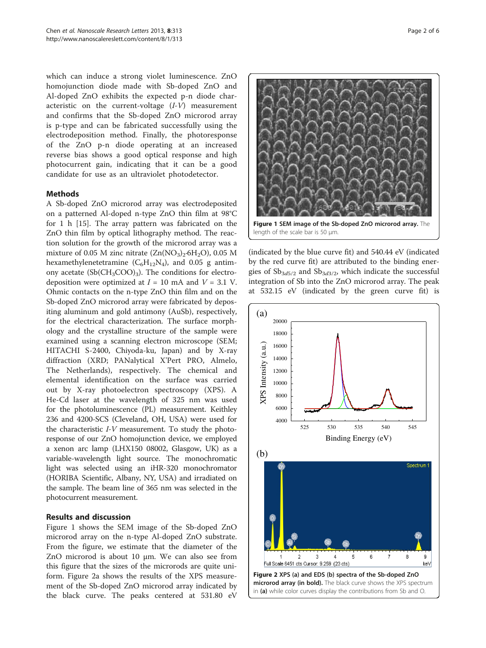<span id="page-1-0"></span>which can induce a strong violet luminescence. ZnO homojunction diode made with Sb-doped ZnO and Al-doped ZnO exhibits the expected p-n diode characteristic on the current-voltage (I-V) measurement and confirms that the Sb-doped ZnO microrod array is p-type and can be fabricated successfully using the electrodeposition method. Finally, the photoresponse of the ZnO p-n diode operating at an increased reverse bias shows a good optical response and high photocurrent gain, indicating that it can be a good candidate for use as an ultraviolet photodetector.

## Methods

A Sb-doped ZnO microrod array was electrodeposited on a patterned Al-doped n-type ZnO thin film at 98°C for 1 h [\[15](#page-5-0)]. The array pattern was fabricated on the ZnO thin film by optical lithography method. The reaction solution for the growth of the microrod array was a mixture of 0.05 M zinc nitrate  $(Zn(NO<sub>3</sub>)<sub>2</sub>·6H<sub>2</sub>O)$ , 0.05 M hexamethylenetetramine  $(C_6H_{12}N_4)$ , and 0.05 g antimony acetate  $(Sb(CH_3COO)_3)$ . The conditions for electrodeposition were optimized at  $I = 10$  mA and  $V = 3.1$  V. Ohmic contacts on the n-type ZnO thin film and on the Sb-doped ZnO microrod array were fabricated by depositing aluminum and gold antimony (AuSb), respectively, for the electrical characterization. The surface morphology and the crystalline structure of the sample were examined using a scanning electron microscope (SEM; HITACHI S-2400, Chiyoda-ku, Japan) and by X-ray diffraction (XRD; PANalytical X'Pert PRO, Almelo, The Netherlands), respectively. The chemical and elemental identification on the surface was carried out by X-ray photoelectron spectroscopy (XPS). A He-Cd laser at the wavelength of 325 nm was used for the photoluminescence (PL) measurement. Keithley 236 and 4200-SCS (Cleveland, OH, USA) were used for the characteristic I-V measurement. To study the photoresponse of our ZnO homojunction device, we employed a xenon arc lamp (LHX150 08002, Glasgow, UK) as a variable-wavelength light source. The monochromatic light was selected using an iHR-320 monochromator (HORIBA Scientific, Albany, NY, USA) and irradiated on the sample. The beam line of 365 nm was selected in the photocurrent measurement.

## Results and discussion

Figure 1 shows the SEM image of the Sb-doped ZnO microrod array on the n-type Al-doped ZnO substrate. From the figure, we estimate that the diameter of the ZnO microrod is about 10 μm. We can also see from this figure that the sizes of the microrods are quite uniform. Figure 2a shows the results of the XPS measurement of the Sb-doped ZnO microrod array indicated by the black curve. The peaks centered at 531.80 eV



(indicated by the blue curve fit) and 540.44 eV (indicated by the red curve fit) are attributed to the binding energies of  $\mathrm{Sb}_{3d5/2}$  and  $\mathrm{Sb}_{3d3/2}$ , which indicate the successful integration of Sb into the ZnO microrod array. The peak at 532.15 eV (indicated by the green curve fit) is

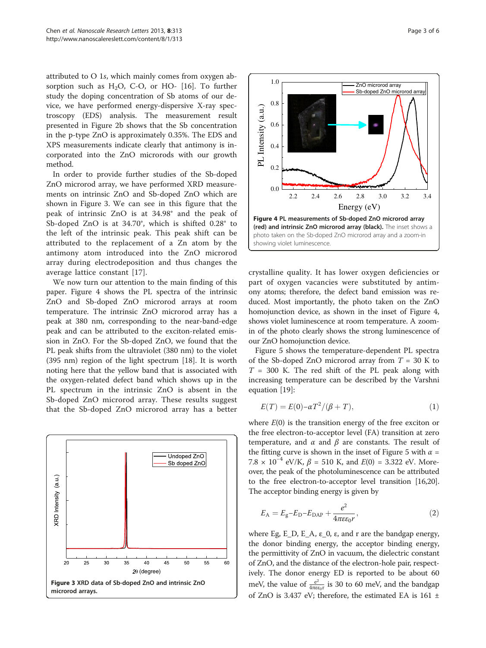<span id="page-2-0"></span>attributed to O 1s, which mainly comes from oxygen absorption such as  $H_2O$ , C-O, or HO- [\[16\]](#page-5-0). To further study the doping concentration of Sb atoms of our device, we have performed energy-dispersive X-ray spectroscopy (EDS) analysis. The measurement result presented in Figure [2](#page-1-0)b shows that the Sb concentration in the p-type ZnO is approximately 0.35%. The EDS and XPS measurements indicate clearly that antimony is incorporated into the ZnO microrods with our growth method.

In order to provide further studies of the Sb-doped ZnO microrod array, we have performed XRD measurements on intrinsic ZnO and Sb-doped ZnO which are shown in Figure 3. We can see in this figure that the peak of intrinsic ZnO is at 34.98° and the peak of Sb-doped ZnO is at 34.70°, which is shifted 0.28° to the left of the intrinsic peak. This peak shift can be attributed to the replacement of a Zn atom by the antimony atom introduced into the ZnO microrod array during electrodeposition and thus changes the average lattice constant [[17\]](#page-5-0).

We now turn our attention to the main finding of this paper. Figure 4 shows the PL spectra of the intrinsic ZnO and Sb-doped ZnO microrod arrays at room temperature. The intrinsic ZnO microrod array has a peak at 380 nm, corresponding to the near-band-edge peak and can be attributed to the exciton-related emission in ZnO. For the Sb-doped ZnO, we found that the PL peak shifts from the ultraviolet (380 nm) to the violet (395 nm) region of the light spectrum [\[18](#page-5-0)]. It is worth noting here that the yellow band that is associated with the oxygen-related defect band which shows up in the PL spectrum in the intrinsic ZnO is absent in the Sb-doped ZnO microrod array. These results suggest that the Sb-doped ZnO microrod array has a better





crystalline quality. It has lower oxygen deficiencies or part of oxygen vacancies were substituted by antimony atoms; therefore, the defect band emission was reduced. Most importantly, the photo taken on the ZnO homojunction device, as shown in the inset of Figure 4, shows violet luminescence at room temperature. A zoomin of the photo clearly shows the strong luminescence of our ZnO homojunction device.

Figure [5](#page-3-0) shows the temperature-dependent PL spectra of the Sb-doped ZnO microrod array from  $T = 30$  K to  $T = 300$  K. The red shift of the PL peak along with increasing temperature can be described by the Varshni equation [\[19](#page-5-0)]:

$$
E(T) = E(0) - \alpha T^2 / (\beta + T),
$$
\n(1)

where  $E(0)$  is the transition energy of the free exciton or the free electron-to-acceptor level (FA) transition at zero temperature, and  $\alpha$  and  $\beta$  are constants. The result of the fitting curve is shown in the inset of Figure [5](#page-3-0) with  $\alpha$  = 7.8 × 10<sup>-4</sup> eV/K,  $\beta$  = 510 K, and  $E(0)$  = 3.322 eV. Moreover, the peak of the photoluminescence can be attributed to the free electron-to-acceptor level transition [\[16,20](#page-5-0)]. The acceptor binding energy is given by

$$
E_{\rm A} = E_{\rm g} - E_{\rm D} - E_{\rm DAP} + \frac{e^2}{4\pi\epsilon\varepsilon_0 r},\tag{2}
$$

where Eg, E\_D, E\_A,  $\varepsilon$ \_0,  $\varepsilon$ , and r are the bandgap energy, the donor binding energy, the acceptor binding energy, the permittivity of ZnO in vacuum, the dielectric constant of ZnO, and the distance of the electron-hole pair, respectively. The donor energy ED is reported to be about 60 meV, the value of  $\frac{e^2}{4\pi\epsilon\epsilon_0 r}$  is 30 to 60 meV, and the bandgap of ZnO is 3.437 eV; therefore, the estimated EA is 161 ±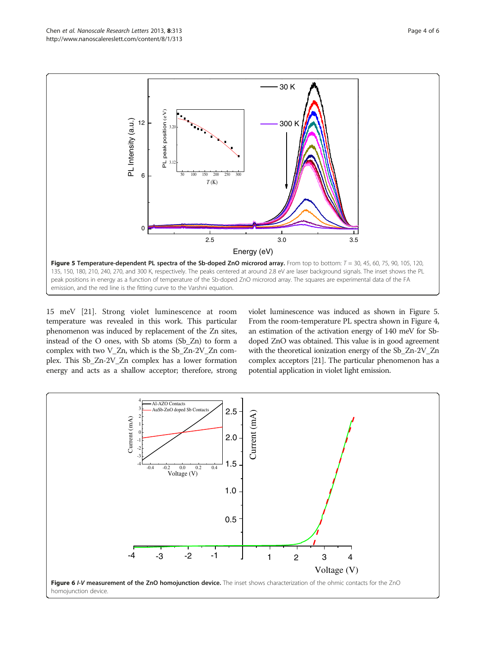<span id="page-3-0"></span>

15 meV [[21\]](#page-5-0). Strong violet luminescence at room temperature was revealed in this work. This particular phenomenon was induced by replacement of the Zn sites, instead of the O ones, with Sb atoms (Sb\_Zn) to form a complex with two V\_Zn, which is the Sb\_Zn-2V\_Zn complex. This Sb\_Zn-2V\_Zn complex has a lower formation energy and acts as a shallow acceptor; therefore, strong violet luminescence was induced as shown in Figure 5. From the room-temperature PL spectra shown in Figure [4](#page-2-0), an estimation of the activation energy of 140 meV for Sbdoped ZnO was obtained. This value is in good agreement with the theoretical ionization energy of the Sb\_Zn-2V\_Zn complex acceptors [[21](#page-5-0)]. The particular phenomenon has a potential application in violet light emission.

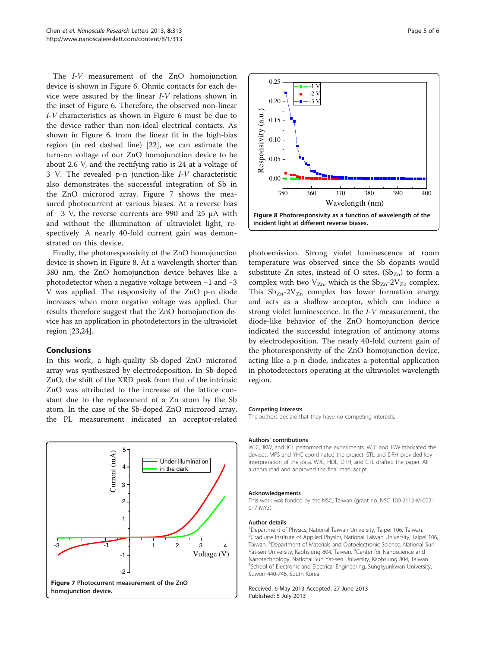The *I-V* measurement of the ZnO homojunction device is shown in Figure [6](#page-3-0). Ohmic contacts for each device were assured by the linear I-V relations shown in the inset of Figure [6.](#page-3-0) Therefore, the observed non-linear I-V characteristics as shown in Figure [6](#page-3-0) must be due to the device rather than non-ideal electrical contacts. As shown in Figure [6](#page-3-0), from the linear fit in the high-bias region (in red dashed line) [\[22](#page-5-0)], we can estimate the turn-on voltage of our ZnO homojunction device to be about 2.6 V, and the rectifying ratio is 24 at a voltage of 3 V. The revealed p-n junction-like I-V characteristic also demonstrates the successful integration of Sb in the ZnO microrod array. Figure 7 shows the measured photocurrent at various biases. At a reverse bias of −3 V, the reverse currents are 990 and 25 μA with and without the illumination of ultraviolet light, respectively. A nearly 40-fold current gain was demonstrated on this device.

Finally, the photoresponsivity of the ZnO homojunction device is shown in Figure 8. At a wavelength shorter than 380 nm, the ZnO homojunction device behaves like a photodetector when a negative voltage between −1 and −3 V was applied. The responsivity of the ZnO p-n diode increases when more negative voltage was applied. Our results therefore suggest that the ZnO homojunction device has an application in photodetectors in the ultraviolet region [[23,24](#page-5-0)].

### Conclusions

In this work, a high-quality Sb-doped ZnO microrod array was synthesized by electrodeposition. In Sb-doped ZnO, the shift of the XRD peak from that of the intrinsic ZnO was attributed to the increase of the lattice constant due to the replacement of a Zn atom by the Sb atom. In the case of the Sb-doped ZnO microrod array, the PL measurement indicated an acceptor-related





photoemission. Strong violet luminescence at room temperature was observed since the Sb dopants would substitute Zn sites, instead of O sites,  $(Sb_{Zn})$  to form a complex with two  $V_{Zn}$ , which is the  $Sb_{Zn}$ -2 $V_{Zn}$  complex. This  $Sb_{Zn}$ -2 $V_{Zn}$  complex has lower formation energy and acts as a shallow acceptor, which can induce a strong violet luminescence. In the I-V measurement, the diode-like behavior of the ZnO homojunction device indicated the successful integration of antimony atoms by electrodeposition. The nearly 40-fold current gain of the photoresponsivity of the ZnO homojunction device, acting like a p-n diode, indicates a potential application in photodetectors operating at the ultraviolet wavelength region.

#### Competing interests

The authors declare that they have no competing interests.

#### Authors' contributions

WJC, JKW, and JCL performed the experiments. WJC and JKW fabricated the devices. MFS and YHC coordinated the project. STL and DRH provided key interpretation of the data. WJC, HDL, DRH, and CTL drafted the paper. All authors read and approved the final manuscript.

#### Acknowledgements

This work was funded by the NSC, Taiwan (grant no. NSC 100-2112-M-002- 017-MY3).

#### Author details

<sup>1</sup> Department of Physics, National Taiwan University, Taipei 106, Taiwan <sup>2</sup>Graduate Institute of Applied Physics, National Taiwan University, Taipei 106, Taiwan. <sup>3</sup> Department of Materials and Optoelectronic Science, National Sun Yat-sen University, Kaohsiung 804, Taiwan. <sup>4</sup>Center for Nanoscience and Nanotechnology, National Sun Yat-sen University, Kaohsiung 804, Taiwan. 5 School of Electronic and Electrical Engineering, Sungkyunkwan University, Suwon 440-746, South Korea.

Received: 6 May 2013 Accepted: 27 June 2013 Published: 5 July 2013